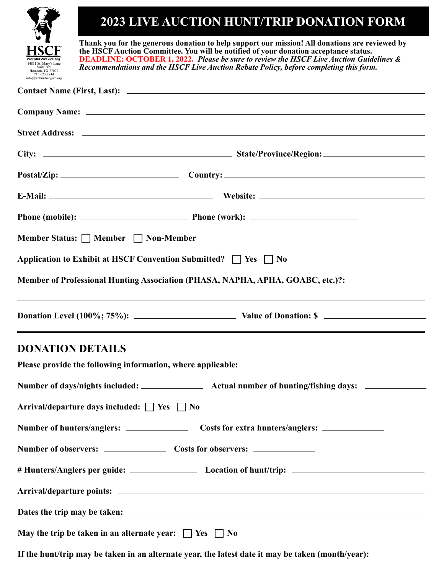## **Contact Name (First, Last): DONATION DETAILS Please provide the following information, where applicable: Company Name: Member Status:** □ Member □ Non-Member **Application to Exhibit at HSCF Convention Submitted?**  $\Box$  Yes  $\Box$  No **Phone (mobile): Phone (work): E-Mail: Website: Postal/Zip: Country: City: State/Province/Region: Street Address: Member of Professional Hunting Association (PHASA, NAPHA, APHA, GOABC, etc.)?: Donation Level (100%; 75%): Value of Donation: \$ Arrival/departure days included:**  $\Box$  Yes  $\Box$  No **May the trip be taken in an alternate year:**  $\Box$  Yes  $\Box$  No Number of days/nights included: **Actual number of hunting/fishing days:** <u>\_\_\_\_\_\_\_\_</u> **Number of observers: Costs for observers: Arrival/departure points: Dates the trip may be taken: # Hunters/Anglers per guide: Location of hunt/trip: Number of hunters/anglers: Costs for extra hunters/anglers: Thank you for the generous donation to help support our mission! All donations are reviewed by the HSCF Auction Committee. You will be notified of your donation acceptance status. DEADLINE: OCTOBER 1, 2022.** *Please be sure to review the HSCF Live Auction Guidelines & Recommendations and the HSCF Live Auction Rebate Policy, before completing this form.*  **2023 LIVE AUCTION HUNT/TRIP DONATION FORM** 14811 St. Mary's Lane Suite 265 Houston, TX 77079 713.623.8844  $info@w$

**If the hunt/trip may be taken in an alternate year, the latest date it may be taken (month/year):**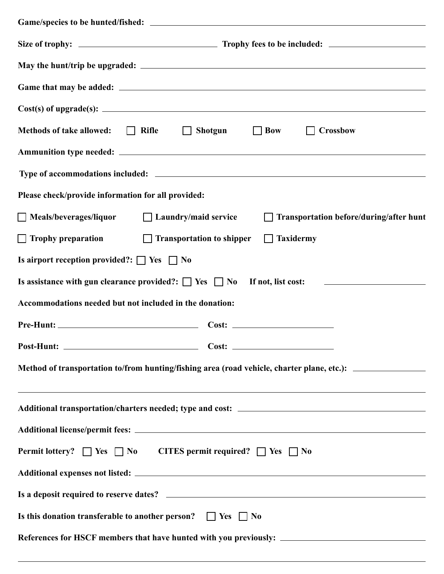| $Cost(s)$ of upgrade(s): $\angle$                                                                          |
|------------------------------------------------------------------------------------------------------------|
| Methods of take allowed: $\Box$ Rifle $\Box$<br>Shotgun $\Box$ Bow<br>$\Box$ Crossbow                      |
|                                                                                                            |
|                                                                                                            |
| Please check/provide information for all provided:                                                         |
| □ Meals/beverages/liquor □ Laundry/maid service<br>□ Transportation before/during/after hunt               |
| $\Box$ Trophy preparation<br>$\Box$ Transportation to shipper<br>$\Box$ Taxidermy                          |
| Is airport reception provided?: $\Box$ Yes $\Box$ No                                                       |
| Is assistance with gun clearance provided?: $\Box$ Yes $\Box$ No<br>If not, list cost:                     |
| Accommodations needed but not included in the donation:                                                    |
|                                                                                                            |
|                                                                                                            |
| Method of transportation to/from hunting/fishing area (road vehicle, charter plane, etc.): _______________ |
| ,我们也不会有什么。""我们的人,我们也不会有什么?""我们的人,我们也不会有什么?""我们的人,我们也不会有什么?""我们的人,我们也不会有什么?""我们的人                           |
|                                                                                                            |
| Permit lottery? $\Box$ Yes $\Box$ No CITES permit required? $\Box$ Yes $\Box$ No                           |
|                                                                                                            |
|                                                                                                            |
| Is this donation transferable to another person? $\Box$ Yes $\Box$ No                                      |
|                                                                                                            |